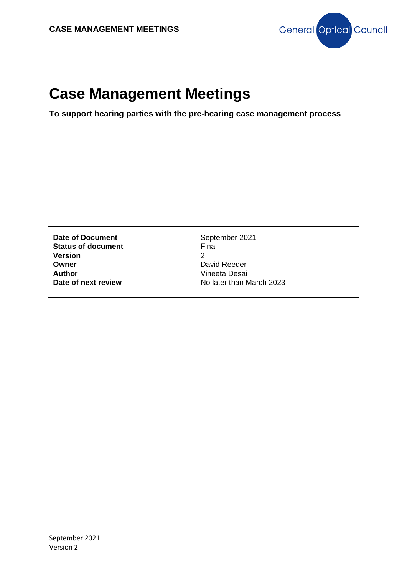

**To support hearing parties with the pre-hearing case management process**

| Date of Document          | September 2021           |
|---------------------------|--------------------------|
| <b>Status of document</b> | Final                    |
| <b>Version</b>            |                          |
| Owner                     | David Reeder             |
| <b>Author</b>             | Vineeta Desai            |
| Date of next review       | No later than March 2023 |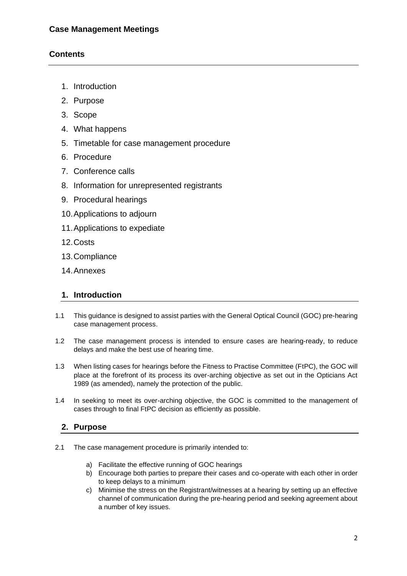# **Contents**

- 1. Introduction
- 2. Purpose
- 3. Scope
- 4. What happens
- 5. Timetable for case management procedure
- 6. Procedure
- 7. Conference calls
- 8. Information for unrepresented registrants
- 9. Procedural hearings
- 10.Applications to adjourn
- 11.Applications to expediate
- 12.Costs
- 13.Compliance
- 14.Annexes

## **1. Introduction**

- 1.1 This guidance is designed to assist parties with the General Optical Council (GOC) pre-hearing case management process.
- 1.2 The case management process is intended to ensure cases are hearing-ready, to reduce delays and make the best use of hearing time.
- 1.3 When listing cases for hearings before the Fitness to Practise Committee (FtPC), the GOC will place at the forefront of its process its over-arching objective as set out in the Opticians Act 1989 (as amended), namely the protection of the public.
- 1.4 In seeking to meet its over-arching objective, the GOC is committed to the management of cases through to final FtPC decision as efficiently as possible.

## **2. Purpose**

- 2.1 The case management procedure is primarily intended to:
	- a) Facilitate the effective running of GOC hearings
	- b) Encourage both parties to prepare their cases and co-operate with each other in order to keep delays to a minimum
	- c) Minimise the stress on the Registrant/witnesses at a hearing by setting up an effective channel of communication during the pre-hearing period and seeking agreement about a number of key issues.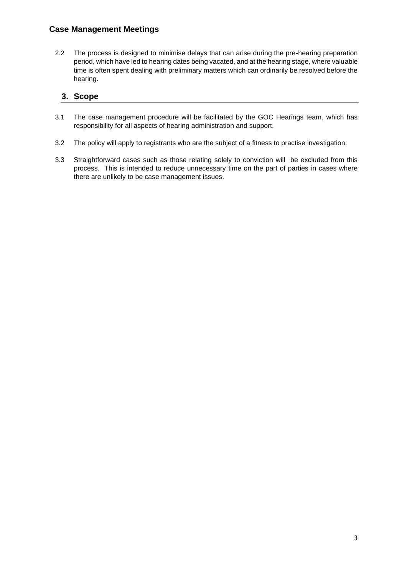2.2 The process is designed to minimise delays that can arise during the pre-hearing preparation period, which have led to hearing dates being vacated, and at the hearing stage, where valuable time is often spent dealing with preliminary matters which can ordinarily be resolved before the hearing.

## **3. Scope**

- 3.1 The case management procedure will be facilitated by the GOC Hearings team, which has responsibility for all aspects of hearing administration and support.
- 3.2 The policy will apply to registrants who are the subject of a fitness to practise investigation.
- 3.3 Straightforward cases such as those relating solely to conviction will be excluded from this process. This is intended to reduce unnecessary time on the part of parties in cases where there are unlikely to be case management issues.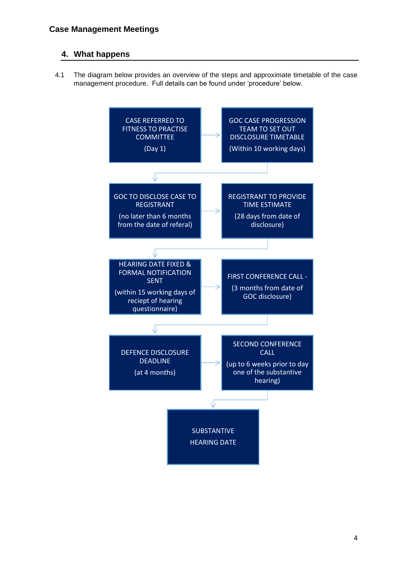# **4. What happens**

4.1 The diagram below provides an overview of the steps and approximate timetable of the case management procedure. Full details can be found under 'procedure' below.

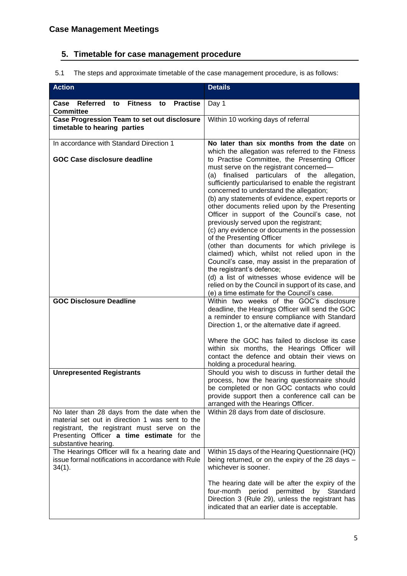# **5. Timetable for case management procedure**

5.1 The steps and approximate timetable of the case management procedure, is as follows:

| <b>Action</b>                                                                                                                                                                                                         | <b>Details</b>                                                                                                                                                                                                                                                                                                                                                                                                                                                                                                                                                                                                                                                                                                                                                                                                                                                                                                            |
|-----------------------------------------------------------------------------------------------------------------------------------------------------------------------------------------------------------------------|---------------------------------------------------------------------------------------------------------------------------------------------------------------------------------------------------------------------------------------------------------------------------------------------------------------------------------------------------------------------------------------------------------------------------------------------------------------------------------------------------------------------------------------------------------------------------------------------------------------------------------------------------------------------------------------------------------------------------------------------------------------------------------------------------------------------------------------------------------------------------------------------------------------------------|
| Referred<br><b>Practise</b><br>to<br>Fitness<br>to<br>Case<br><b>Committee</b>                                                                                                                                        | Day 1                                                                                                                                                                                                                                                                                                                                                                                                                                                                                                                                                                                                                                                                                                                                                                                                                                                                                                                     |
| Case Progression Team to set out disclosure<br>timetable to hearing parties                                                                                                                                           | Within 10 working days of referral                                                                                                                                                                                                                                                                                                                                                                                                                                                                                                                                                                                                                                                                                                                                                                                                                                                                                        |
| In accordance with Standard Direction 1<br><b>GOC Case disclosure deadline</b>                                                                                                                                        | No later than six months from the date on<br>which the allegation was referred to the Fitness<br>to Practise Committee, the Presenting Officer<br>must serve on the registrant concerned-<br>(a) finalised particulars of the allegation,<br>sufficiently particularised to enable the registrant<br>concerned to understand the allegation;<br>(b) any statements of evidence, expert reports or<br>other documents relied upon by the Presenting<br>Officer in support of the Council's case, not<br>previously served upon the registrant;<br>(c) any evidence or documents in the possession<br>of the Presenting Officer<br>(other than documents for which privilege is<br>claimed) which, whilst not relied upon in the<br>Council's case, may assist in the preparation of<br>the registrant's defence;<br>(d) a list of witnesses whose evidence will be<br>relied on by the Council in support of its case, and |
| <b>GOC Disclosure Deadline</b>                                                                                                                                                                                        | (e) a time estimate for the Council's case.<br>Within two weeks of the GOC's disclosure<br>deadline, the Hearings Officer will send the GOC<br>a reminder to ensure compliance with Standard<br>Direction 1, or the alternative date if agreed.<br>Where the GOC has failed to disclose its case<br>within six months, the Hearings Officer will<br>contact the defence and obtain their views on<br>holding a procedural hearing.                                                                                                                                                                                                                                                                                                                                                                                                                                                                                        |
| <b>Unrepresented Registrants</b>                                                                                                                                                                                      | Should you wish to discuss in further detail the<br>process, how the hearing questionnaire should<br>be completed or non GOC contacts who could<br>provide support then a conference call can be<br>arranged with the Hearings Officer.                                                                                                                                                                                                                                                                                                                                                                                                                                                                                                                                                                                                                                                                                   |
| No later than 28 days from the date when the<br>material set out in direction 1 was sent to the<br>registrant, the registrant must serve on the<br>Presenting Officer a time estimate for the<br>substantive hearing. | Within 28 days from date of disclosure.                                                                                                                                                                                                                                                                                                                                                                                                                                                                                                                                                                                                                                                                                                                                                                                                                                                                                   |
| The Hearings Officer will fix a hearing date and<br>issue formal notifications in accordance with Rule<br>$34(1)$ .                                                                                                   | Within 15 days of the Hearing Questionnaire (HQ)<br>being returned, or on the expiry of the 28 days -<br>whichever is sooner.<br>The hearing date will be after the expiry of the<br>permitted<br>by Standard<br>four-month<br>period<br>Direction 3 (Rule 29), unless the registrant has<br>indicated that an earlier date is acceptable.                                                                                                                                                                                                                                                                                                                                                                                                                                                                                                                                                                                |
|                                                                                                                                                                                                                       |                                                                                                                                                                                                                                                                                                                                                                                                                                                                                                                                                                                                                                                                                                                                                                                                                                                                                                                           |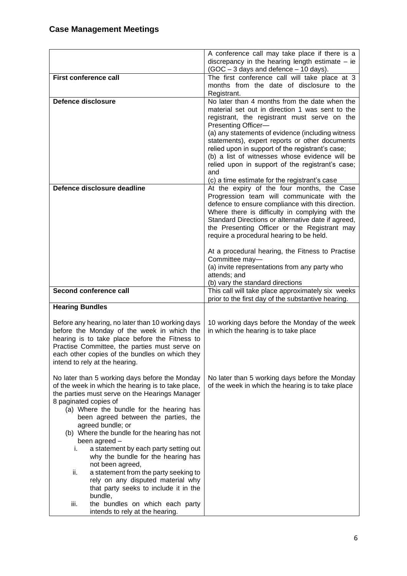|                                                                                   | A conference call may take place if there is a<br>discrepancy in the hearing length estimate $-$ ie |
|-----------------------------------------------------------------------------------|-----------------------------------------------------------------------------------------------------|
|                                                                                   | (GOC - 3 days and defence - 10 days).                                                               |
| First conference call                                                             | The first conference call will take place at 3                                                      |
|                                                                                   | months from the date of disclosure to the                                                           |
| Defence disclosure                                                                | Registrant.<br>No later than 4 months from the date when the                                        |
|                                                                                   | material set out in direction 1 was sent to the                                                     |
|                                                                                   | registrant, the registrant must serve on the                                                        |
|                                                                                   | Presenting Officer-                                                                                 |
|                                                                                   | (a) any statements of evidence (including witness                                                   |
|                                                                                   | statements), expert reports or other documents<br>relied upon in support of the registrant's case;  |
|                                                                                   | (b) a list of witnesses whose evidence will be                                                      |
|                                                                                   | relied upon in support of the registrant's case;                                                    |
|                                                                                   | and                                                                                                 |
|                                                                                   | (c) a time estimate for the registrant's case                                                       |
| Defence disclosure deadline                                                       | At the expiry of the four months, the Case                                                          |
|                                                                                   | Progression team will communicate with the<br>defence to ensure compliance with this direction.     |
|                                                                                   | Where there is difficulty in complying with the                                                     |
|                                                                                   | Standard Directions or alternative date if agreed,                                                  |
|                                                                                   | the Presenting Officer or the Registrant may                                                        |
|                                                                                   | require a procedural hearing to be held.                                                            |
|                                                                                   | At a procedural hearing, the Fitness to Practise                                                    |
|                                                                                   | Committee may-                                                                                      |
|                                                                                   | (a) invite representations from any party who                                                       |
|                                                                                   | attends; and                                                                                        |
| Second conference call                                                            | (b) vary the standard directions<br>This call will take place approximately six weeks               |
|                                                                                   | prior to the first day of the substantive hearing.                                                  |
| <b>Hearing Bundles</b>                                                            |                                                                                                     |
| Before any hearing, no later than 10 working days                                 | 10 working days before the Monday of the week                                                       |
| before the Monday of the week in which the                                        | in which the hearing is to take place                                                               |
| hearing is to take place before the Fitness to                                    |                                                                                                     |
| Practise Committee, the parties must serve on                                     |                                                                                                     |
| each other copies of the bundles on which they                                    |                                                                                                     |
| intend to rely at the hearing.                                                    |                                                                                                     |
| No later than 5 working days before the Monday                                    | No later than 5 working days before the Monday                                                      |
| of the week in which the hearing is to take place,                                | of the week in which the hearing is to take place                                                   |
| the parties must serve on the Hearings Manager                                    |                                                                                                     |
| 8 paginated copies of<br>(a) Where the bundle for the hearing has                 |                                                                                                     |
| been agreed between the parties, the                                              |                                                                                                     |
| agreed bundle; or                                                                 |                                                                                                     |
| (b) Where the bundle for the hearing has not                                      |                                                                                                     |
| been agreed -                                                                     |                                                                                                     |
| a statement by each party setting out<br>i.<br>why the bundle for the hearing has |                                                                                                     |
| not been agreed,                                                                  |                                                                                                     |
| a statement from the party seeking to<br>ii.                                      |                                                                                                     |
| rely on any disputed material why                                                 |                                                                                                     |
| that party seeks to include it in the                                             |                                                                                                     |
| bundle,<br>iii.<br>the bundles on which each party                                |                                                                                                     |
| intends to rely at the hearing.                                                   |                                                                                                     |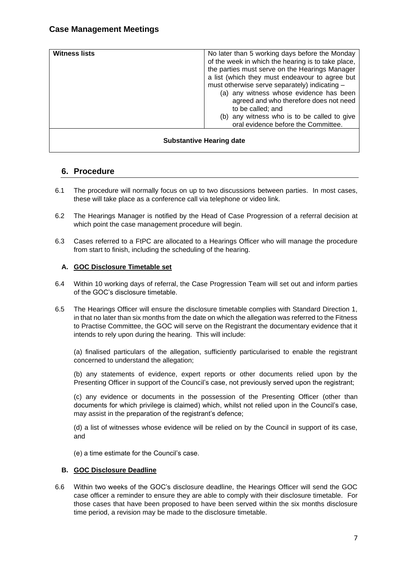| <b>Witness lists</b>            | No later than 5 working days before the Monday<br>of the week in which the hearing is to take place,<br>the parties must serve on the Hearings Manager<br>a list (which they must endeavour to agree but<br>must otherwise serve separately) indicating -<br>(a) any witness whose evidence has been<br>agreed and who therefore does not need<br>to be called; and<br>(b) any witness who is to be called to give |
|---------------------------------|--------------------------------------------------------------------------------------------------------------------------------------------------------------------------------------------------------------------------------------------------------------------------------------------------------------------------------------------------------------------------------------------------------------------|
|                                 | oral evidence before the Committee.                                                                                                                                                                                                                                                                                                                                                                                |
| <b>Substantive Hearing date</b> |                                                                                                                                                                                                                                                                                                                                                                                                                    |

## **6. Procedure**

- 6.1 The procedure will normally focus on up to two discussions between parties. In most cases, these will take place as a conference call via telephone or video link.
- 6.2 The Hearings Manager is notified by the Head of Case Progression of a referral decision at which point the case management procedure will begin.
- 6.3 Cases referred to a FtPC are allocated to a Hearings Officer who will manage the procedure from start to finish, including the scheduling of the hearing.

#### **A. GOC Disclosure Timetable set**

- 6.4 Within 10 working days of referral, the Case Progression Team will set out and inform parties of the GOC's disclosure timetable.
- 6.5 The Hearings Officer will ensure the disclosure timetable complies with Standard Direction 1, in that no later than six months from the date on which the allegation was referred to the Fitness to Practise Committee, the GOC will serve on the Registrant the documentary evidence that it intends to rely upon during the hearing. This will include:

(a) finalised particulars of the allegation, sufficiently particularised to enable the registrant concerned to understand the allegation;

(b) any statements of evidence, expert reports or other documents relied upon by the Presenting Officer in support of the Council's case, not previously served upon the registrant;

(c) any evidence or documents in the possession of the Presenting Officer (other than documents for which privilege is claimed) which, whilst not relied upon in the Council's case, may assist in the preparation of the registrant's defence;

(d) a list of witnesses whose evidence will be relied on by the Council in support of its case, and

(e) a time estimate for the Council's case.

#### **B. GOC Disclosure Deadline**

6.6 Within two weeks of the GOC's disclosure deadline, the Hearings Officer will send the GOC case officer a reminder to ensure they are able to comply with their disclosure timetable. For those cases that have been proposed to have been served within the six months disclosure time period, a revision may be made to the disclosure timetable.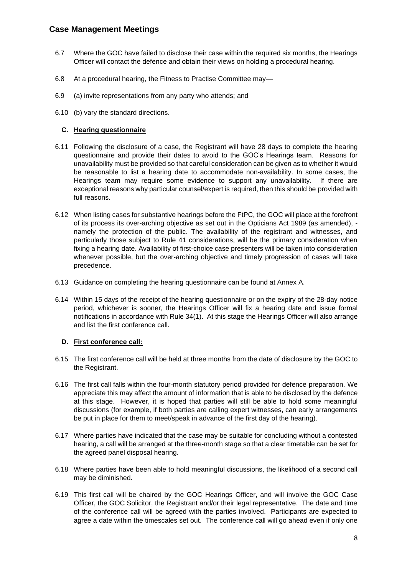- 6.7 Where the GOC have failed to disclose their case within the required six months, the Hearings Officer will contact the defence and obtain their views on holding a procedural hearing.
- 6.8 At a procedural hearing, the Fitness to Practise Committee may—
- 6.9 (a) invite representations from any party who attends; and
- 6.10 (b) vary the standard directions.

#### **C. Hearing questionnaire**

- 6.11 Following the disclosure of a case, the Registrant will have 28 days to complete the hearing questionnaire and provide their dates to avoid to the GOC's Hearings team. Reasons for unavailability must be provided so that careful consideration can be given as to whether it would be reasonable to list a hearing date to accommodate non-availability. In some cases, the Hearings team may require some evidence to support any unavailability. If there are exceptional reasons why particular counsel/expert is required, then this should be provided with full reasons.
- 6.12 When listing cases for substantive hearings before the FtPC, the GOC will place at the forefront of its process its over-arching objective as set out in the Opticians Act 1989 (as amended), namely the protection of the public. The availability of the registrant and witnesses, and particularly those subject to Rule 41 considerations, will be the primary consideration when fixing a hearing date. Availability of first-choice case presenters will be taken into consideration whenever possible, but the over-arching objective and timely progression of cases will take precedence.
- 6.13 Guidance on completing the hearing questionnaire can be found at Annex A.
- 6.14 Within 15 days of the receipt of the hearing questionnaire or on the expiry of the 28-day notice period, whichever is sooner, the Hearings Officer will fix a hearing date and issue formal notifications in accordance with Rule 34(1). At this stage the Hearings Officer will also arrange and list the first conference call.

#### **D. First conference call:**

- 6.15 The first conference call will be held at three months from the date of disclosure by the GOC to the Registrant.
- 6.16 The first call falls within the four-month statutory period provided for defence preparation. We appreciate this may affect the amount of information that is able to be disclosed by the defence at this stage. However, it is hoped that parties will still be able to hold some meaningful discussions (for example, if both parties are calling expert witnesses, can early arrangements be put in place for them to meet/speak in advance of the first day of the hearing).
- 6.17 Where parties have indicated that the case may be suitable for concluding without a contested hearing, a call will be arranged at the three-month stage so that a clear timetable can be set for the agreed panel disposal hearing.
- 6.18 Where parties have been able to hold meaningful discussions, the likelihood of a second call may be diminished.
- 6.19 This first call will be chaired by the GOC Hearings Officer, and will involve the GOC Case Officer, the GOC Solicitor, the Registrant and/or their legal representative. The date and time of the conference call will be agreed with the parties involved. Participants are expected to agree a date within the timescales set out. The conference call will go ahead even if only one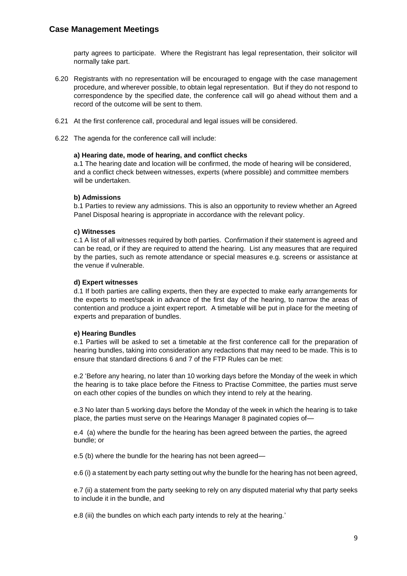party agrees to participate. Where the Registrant has legal representation, their solicitor will normally take part.

- 6.20 Registrants with no representation will be encouraged to engage with the case management procedure, and wherever possible, to obtain legal representation. But if they do not respond to correspondence by the specified date, the conference call will go ahead without them and a record of the outcome will be sent to them.
- 6.21 At the first conference call, procedural and legal issues will be considered.
- 6.22 The agenda for the conference call will include:

#### **a) Hearing date, mode of hearing, and conflict checks**

a.1 The hearing date and location will be confirmed, the mode of hearing will be considered, and a conflict check between witnesses, experts (where possible) and committee members will be undertaken.

#### **b) Admissions**

b.1 Parties to review any admissions. This is also an opportunity to review whether an Agreed Panel Disposal hearing is appropriate in accordance with the relevant policy.

#### **c) Witnesses**

c.1 A list of all witnesses required by both parties. Confirmation if their statement is agreed and can be read, or if they are required to attend the hearing. List any measures that are required by the parties, such as remote attendance or special measures e.g. screens or assistance at the venue if vulnerable.

#### **d) Expert witnesses**

d.1 If both parties are calling experts, then they are expected to make early arrangements for the experts to meet/speak in advance of the first day of the hearing, to narrow the areas of contention and produce a joint expert report. A timetable will be put in place for the meeting of experts and preparation of bundles.

#### **e) Hearing Bundles**

e.1 Parties will be asked to set a timetable at the first conference call for the preparation of hearing bundles, taking into consideration any redactions that may need to be made. This is to ensure that standard directions 6 and 7 of the FTP Rules can be met:

e.2 'Before any hearing, no later than 10 working days before the Monday of the week in which the hearing is to take place before the Fitness to Practise Committee, the parties must serve on each other copies of the bundles on which they intend to rely at the hearing.

e.3 No later than 5 working days before the Monday of the week in which the hearing is to take place, the parties must serve on the Hearings Manager 8 paginated copies of—

e.4 (a) where the bundle for the hearing has been agreed between the parties, the agreed bundle; or

e.5 (b) where the bundle for the hearing has not been agreed—

e.6 (i) a statement by each party setting out why the bundle for the hearing has not been agreed,

e.7 (ii) a statement from the party seeking to rely on any disputed material why that party seeks to include it in the bundle, and

e.8 (iii) the bundles on which each party intends to rely at the hearing.'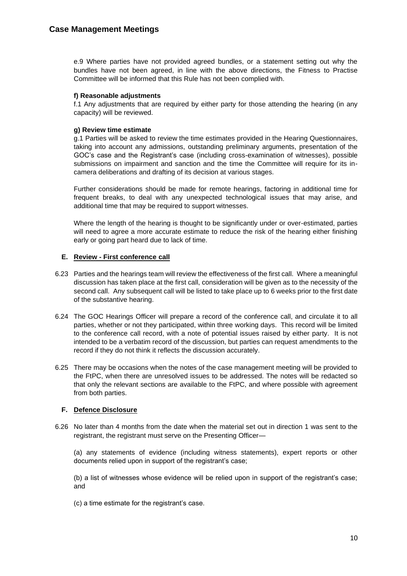e.9 Where parties have not provided agreed bundles, or a statement setting out why the bundles have not been agreed, in line with the above directions, the Fitness to Practise Committee will be informed that this Rule has not been complied with.

#### **f) Reasonable adjustments**

f.1 Any adjustments that are required by either party for those attending the hearing (in any capacity) will be reviewed.

#### **g) Review time estimate**

g.1 Parties will be asked to review the time estimates provided in the Hearing Questionnaires, taking into account any admissions, outstanding preliminary arguments, presentation of the GOC's case and the Registrant's case (including cross-examination of witnesses), possible submissions on impairment and sanction and the time the Committee will require for its incamera deliberations and drafting of its decision at various stages.

Further considerations should be made for remote hearings, factoring in additional time for frequent breaks, to deal with any unexpected technological issues that may arise, and additional time that may be required to support witnesses.

Where the length of the hearing is thought to be significantly under or over-estimated, parties will need to agree a more accurate estimate to reduce the risk of the hearing either finishing early or going part heard due to lack of time.

#### **E. Review - First conference call**

- 6.23 Parties and the hearings team will review the effectiveness of the first call. Where a meaningful discussion has taken place at the first call, consideration will be given as to the necessity of the second call. Any subsequent call will be listed to take place up to 6 weeks prior to the first date of the substantive hearing.
- 6.24 The GOC Hearings Officer will prepare a record of the conference call, and circulate it to all parties, whether or not they participated, within three working days. This record will be limited to the conference call record, with a note of potential issues raised by either party. It is not intended to be a verbatim record of the discussion, but parties can request amendments to the record if they do not think it reflects the discussion accurately.
- 6.25 There may be occasions when the notes of the case management meeting will be provided to the FtPC, when there are unresolved issues to be addressed. The notes will be redacted so that only the relevant sections are available to the FtPC, and where possible with agreement from both parties.

#### **F. Defence Disclosure**

6.26 No later than 4 months from the date when the material set out in direction 1 was sent to the registrant, the registrant must serve on the Presenting Officer—

(a) any statements of evidence (including witness statements), expert reports or other documents relied upon in support of the registrant's case;

(b) a list of witnesses whose evidence will be relied upon in support of the registrant's case; and

(c) a time estimate for the registrant's case.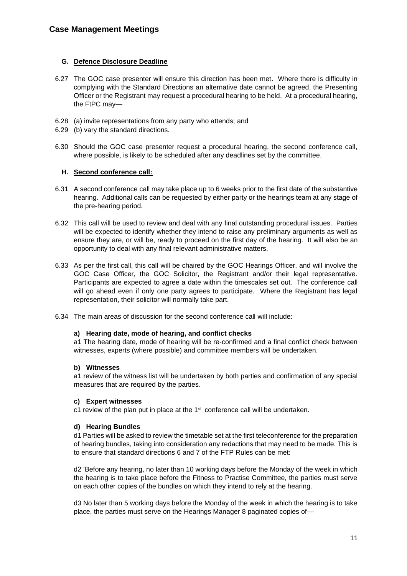#### **G. Defence Disclosure Deadline**

- 6.27 The GOC case presenter will ensure this direction has been met. Where there is difficulty in complying with the Standard Directions an alternative date cannot be agreed, the Presenting Officer or the Registrant may request a procedural hearing to be held. At a procedural hearing, the FtPC may—
- 6.28 (a) invite representations from any party who attends; and
- 6.29 (b) vary the standard directions.
- 6.30 Should the GOC case presenter request a procedural hearing, the second conference call, where possible, is likely to be scheduled after any deadlines set by the committee.

#### **H. Second conference call:**

- 6.31 A second conference call may take place up to 6 weeks prior to the first date of the substantive hearing. Additional calls can be requested by either party or the hearings team at any stage of the pre-hearing period.
- 6.32 This call will be used to review and deal with any final outstanding procedural issues. Parties will be expected to identify whether they intend to raise any preliminary arguments as well as ensure they are, or will be, ready to proceed on the first day of the hearing. It will also be an opportunity to deal with any final relevant administrative matters.
- 6.33 As per the first call, this call will be chaired by the GOC Hearings Officer, and will involve the GOC Case Officer, the GOC Solicitor, the Registrant and/or their legal representative. Participants are expected to agree a date within the timescales set out. The conference call will go ahead even if only one party agrees to participate. Where the Registrant has legal representation, their solicitor will normally take part.
- 6.34 The main areas of discussion for the second conference call will include:

#### **a) Hearing date, mode of hearing, and conflict checks**

a1 The hearing date, mode of hearing will be re-confirmed and a final conflict check between witnesses, experts (where possible) and committee members will be undertaken.

#### **b) Witnesses**

a1 review of the witness list will be undertaken by both parties and confirmation of any special measures that are required by the parties.

#### **c) Expert witnesses**

c1 review of the plan put in place at the  $1<sup>st</sup>$  conference call will be undertaken.

#### **d) Hearing Bundles**

d1 Parties will be asked to review the timetable set at the first teleconference for the preparation of hearing bundles, taking into consideration any redactions that may need to be made. This is to ensure that standard directions 6 and 7 of the FTP Rules can be met:

d2 'Before any hearing, no later than 10 working days before the Monday of the week in which the hearing is to take place before the Fitness to Practise Committee, the parties must serve on each other copies of the bundles on which they intend to rely at the hearing.

d3 No later than 5 working days before the Monday of the week in which the hearing is to take place, the parties must serve on the Hearings Manager 8 paginated copies of—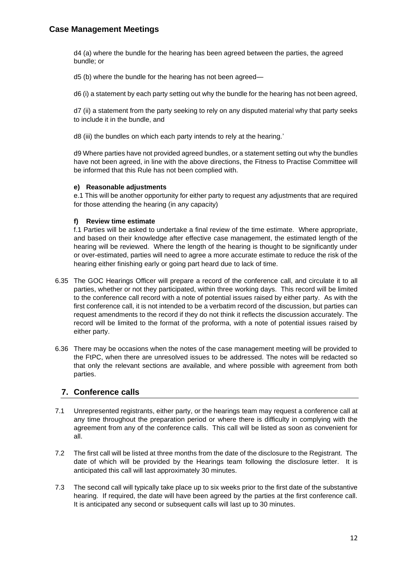d4 (a) where the bundle for the hearing has been agreed between the parties, the agreed bundle; or

d5 (b) where the bundle for the hearing has not been agreed—

d6 (i) a statement by each party setting out why the bundle for the hearing has not been agreed,

d7 (ii) a statement from the party seeking to rely on any disputed material why that party seeks to include it in the bundle, and

d8 (iii) the bundles on which each party intends to rely at the hearing.'

d9 Where parties have not provided agreed bundles, or a statement setting out why the bundles have not been agreed, in line with the above directions, the Fitness to Practise Committee will be informed that this Rule has not been complied with.

#### **e) Reasonable adjustments**

e.1 This will be another opportunity for either party to request any adjustments that are required for those attending the hearing (in any capacity)

#### **f) Review time estimate**

f.1 Parties will be asked to undertake a final review of the time estimate. Where appropriate, and based on their knowledge after effective case management, the estimated length of the hearing will be reviewed. Where the length of the hearing is thought to be significantly under or over-estimated, parties will need to agree a more accurate estimate to reduce the risk of the hearing either finishing early or going part heard due to lack of time.

- 6.35 The GOC Hearings Officer will prepare a record of the conference call, and circulate it to all parties, whether or not they participated, within three working days. This record will be limited to the conference call record with a note of potential issues raised by either party. As with the first conference call, it is not intended to be a verbatim record of the discussion, but parties can request amendments to the record if they do not think it reflects the discussion accurately. The record will be limited to the format of the proforma, with a note of potential issues raised by either party.
- 6.36 There may be occasions when the notes of the case management meeting will be provided to the FtPC, when there are unresolved issues to be addressed. The notes will be redacted so that only the relevant sections are available, and where possible with agreement from both parties.

## **7. Conference calls**

- 7.1 Unrepresented registrants, either party, or the hearings team may request a conference call at any time throughout the preparation period or where there is difficulty in complying with the agreement from any of the conference calls. This call will be listed as soon as convenient for all.
- 7.2 The first call will be listed at three months from the date of the disclosure to the Registrant. The date of which will be provided by the Hearings team following the disclosure letter. It is anticipated this call will last approximately 30 minutes.
- 7.3 The second call will typically take place up to six weeks prior to the first date of the substantive hearing. If required, the date will have been agreed by the parties at the first conference call. It is anticipated any second or subsequent calls will last up to 30 minutes.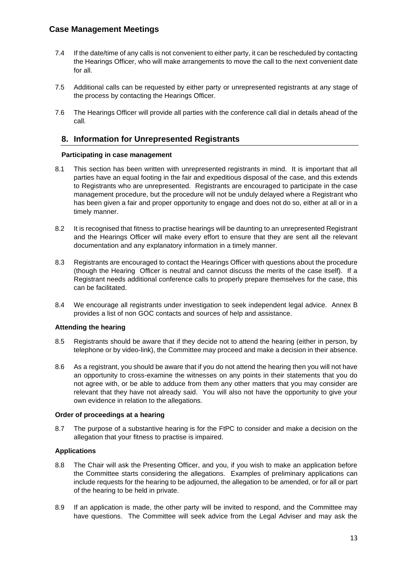- 7.4 If the date/time of any calls is not convenient to either party, it can be rescheduled by contacting the Hearings Officer, who will make arrangements to move the call to the next convenient date for all.
- 7.5 Additional calls can be requested by either party or unrepresented registrants at any stage of the process by contacting the Hearings Officer.
- 7.6 The Hearings Officer will provide all parties with the conference call dial in details ahead of the call.

## **8. Information for Unrepresented Registrants**

#### **Participating in case management**

- 8.1 This section has been written with unrepresented registrants in mind. It is important that all parties have an equal footing in the fair and expeditious disposal of the case, and this extends to Registrants who are unrepresented. Registrants are encouraged to participate in the case management procedure, but the procedure will not be unduly delayed where a Registrant who has been given a fair and proper opportunity to engage and does not do so, either at all or in a timely manner.
- 8.2 It is recognised that fitness to practise hearings will be daunting to an unrepresented Registrant and the Hearings Officer will make every effort to ensure that they are sent all the relevant documentation and any explanatory information in a timely manner.
- 8.3 Registrants are encouraged to contact the Hearings Officer with questions about the procedure (though the Hearing Officer is neutral and cannot discuss the merits of the case itself). If a Registrant needs additional conference calls to properly prepare themselves for the case, this can be facilitated.
- 8.4 We encourage all registrants under investigation to seek independent legal advice. Annex B provides a list of non GOC contacts and sources of help and assistance.

#### **Attending the hearing**

- 8.5 Registrants should be aware that if they decide not to attend the hearing (either in person, by telephone or by video-link), the Committee may proceed and make a decision in their absence.
- 8.6 As a registrant, you should be aware that if you do not attend the hearing then you will not have an opportunity to cross-examine the witnesses on any points in their statements that you do not agree with, or be able to adduce from them any other matters that you may consider are relevant that they have not already said. You will also not have the opportunity to give your own evidence in relation to the allegations.

#### **Order of proceedings at a hearing**

8.7 The purpose of a substantive hearing is for the FtPC to consider and make a decision on the allegation that your fitness to practise is impaired.

#### **Applications**

- 8.8 The Chair will ask the Presenting Officer, and you, if you wish to make an application before the Committee starts considering the allegations. Examples of preliminary applications can include requests for the hearing to be adjourned, the allegation to be amended, or for all or part of the hearing to be held in private.
- 8.9 If an application is made, the other party will be invited to respond, and the Committee may have questions. The Committee will seek advice from the Legal Adviser and may ask the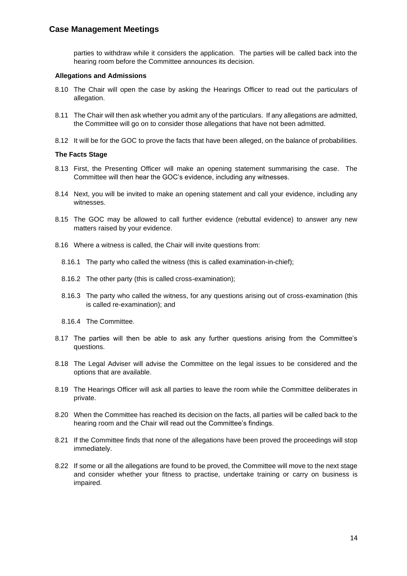parties to withdraw while it considers the application. The parties will be called back into the hearing room before the Committee announces its decision.

#### **Allegations and Admissions**

- 8.10 The Chair will open the case by asking the Hearings Officer to read out the particulars of allegation.
- 8.11 The Chair will then ask whether you admit any of the particulars. If any allegations are admitted, the Committee will go on to consider those allegations that have not been admitted.
- 8.12 It will be for the GOC to prove the facts that have been alleged, on the balance of probabilities.

#### **The Facts Stage**

- 8.13 First, the Presenting Officer will make an opening statement summarising the case. The Committee will then hear the GOC's evidence, including any witnesses.
- 8.14 Next, you will be invited to make an opening statement and call your evidence, including any witnesses.
- 8.15 The GOC may be allowed to call further evidence (rebuttal evidence) to answer any new matters raised by your evidence.
- 8.16 Where a witness is called, the Chair will invite questions from:
	- 8.16.1 The party who called the witness (this is called examination-in-chief);
	- 8.16.2 The other party (this is called cross-examination);
	- 8.16.3 The party who called the witness, for any questions arising out of cross-examination (this is called re-examination); and
	- 8.16.4 The Committee.
- 8.17 The parties will then be able to ask any further questions arising from the Committee's questions.
- 8.18 The Legal Adviser will advise the Committee on the legal issues to be considered and the options that are available.
- 8.19 The Hearings Officer will ask all parties to leave the room while the Committee deliberates in private.
- 8.20 When the Committee has reached its decision on the facts, all parties will be called back to the hearing room and the Chair will read out the Committee's findings.
- 8.21 If the Committee finds that none of the allegations have been proved the proceedings will stop immediately.
- 8.22 If some or all the allegations are found to be proved, the Committee will move to the next stage and consider whether your fitness to practise, undertake training or carry on business is impaired.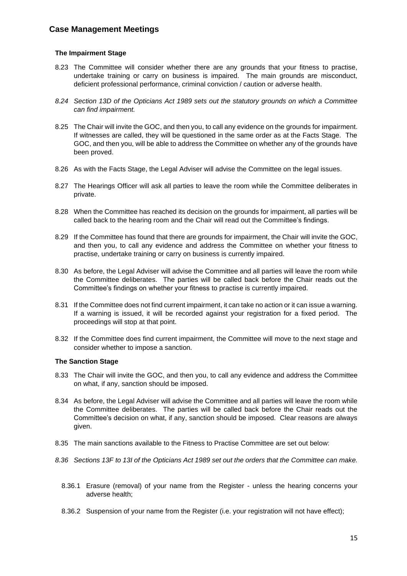#### **The Impairment Stage**

- 8.23 The Committee will consider whether there are any grounds that your fitness to practise, undertake training or carry on business is impaired. The main grounds are misconduct, deficient professional performance, criminal conviction / caution or adverse health.
- *8.24 Section 13D of the Opticians Act 1989 sets out the statutory grounds on which a Committee can find impairment.*
- 8.25 The Chair will invite the GOC, and then you, to call any evidence on the grounds for impairment. If witnesses are called, they will be questioned in the same order as at the Facts Stage. The GOC, and then you, will be able to address the Committee on whether any of the grounds have been proved.
- 8.26 As with the Facts Stage, the Legal Adviser will advise the Committee on the legal issues.
- 8.27 The Hearings Officer will ask all parties to leave the room while the Committee deliberates in private.
- 8.28 When the Committee has reached its decision on the grounds for impairment, all parties will be called back to the hearing room and the Chair will read out the Committee's findings.
- 8.29 If the Committee has found that there are grounds for impairment, the Chair will invite the GOC, and then you, to call any evidence and address the Committee on whether your fitness to practise, undertake training or carry on business is currently impaired.
- 8.30 As before, the Legal Adviser will advise the Committee and all parties will leave the room while the Committee deliberates. The parties will be called back before the Chair reads out the Committee's findings on whether your fitness to practise is currently impaired.
- 8.31 If the Committee does not find current impairment, it can take no action or it can issue a warning. If a warning is issued, it will be recorded against your registration for a fixed period. The proceedings will stop at that point.
- 8.32 If the Committee does find current impairment, the Committee will move to the next stage and consider whether to impose a sanction.

#### **The Sanction Stage**

- 8.33 The Chair will invite the GOC, and then you, to call any evidence and address the Committee on what, if any, sanction should be imposed.
- 8.34 As before, the Legal Adviser will advise the Committee and all parties will leave the room while the Committee deliberates. The parties will be called back before the Chair reads out the Committee's decision on what, if any, sanction should be imposed. Clear reasons are always given.
- 8.35 The main sanctions available to the Fitness to Practise Committee are set out below:
- *8.36 Sections 13F to 13I of the Opticians Act 1989 set out the orders that the Committee can make.*
	- 8.36.1 Erasure (removal) of your name from the Register unless the hearing concerns your adverse health;
	- 8.36.2 Suspension of your name from the Register (i.e. your registration will not have effect);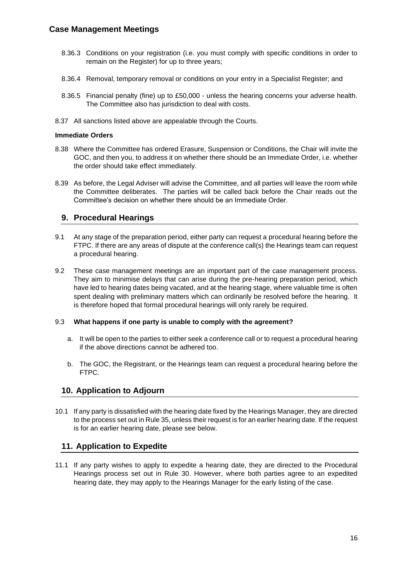- 8.36.3 Conditions on your registration (i.e. you must comply with specific conditions in order to remain on the Register) for up to three years;
- 8.36.4 Removal, temporary removal or conditions on your entry in a Specialist Register; and
- 8.36.5 Financial penalty (fine) up to £50,000 unless the hearing concerns your adverse health. The Committee also has jurisdiction to deal with costs.
- 8.37 All sanctions listed above are appealable through the Courts.

#### **Immediate Orders**

- 8.38 Where the Committee has ordered Erasure, Suspension or Conditions, the Chair will invite the GOC, and then you, to address it on whether there should be an Immediate Order, i.e. whether the order should take effect immediately.
- 8.39 As before, the Legal Adviser will advise the Committee, and all parties will leave the room while the Committee deliberates. The parties will be called back before the Chair reads out the Committee's decision on whether there should be an Immediate Order.

## **9. Procedural Hearings**

- 9.1 At any stage of the preparation period, either party can request a procedural hearing before the FTPC. If there are any areas of dispute at the conference call(s) the Hearings team can request a procedural hearing.
- 9.2 These case management meetings are an important part of the case management process. They aim to minimise delays that can arise during the pre-hearing preparation period, which have led to hearing dates being vacated, and at the hearing stage, where valuable time is often spent dealing with preliminary matters which can ordinarily be resolved before the hearing. It is therefore hoped that formal procedural hearings will only rarely be required.

#### 9.3 **What happens if one party is unable to comply with the agreement?**

- a. It will be open to the parties to either seek a conference call or to request a procedural hearing if the above directions cannot be adhered too.
- b. The GOC, the Registrant, or the Hearings team can request a procedural hearing before the FTPC.

## **10. Application to Adjourn**

10.1 If any party is dissatisfied with the hearing date fixed by the Hearings Manager, they are directed to the process set out in Rule 35, unless their request is for an earlier hearing date. If the request is for an earlier hearing date, please see below.

## **11. Application to Expedite**

11.1 If any party wishes to apply to expedite a hearing date, they are directed to the Procedural Hearings process set out in Rule 30. However, where both parties agree to an expedited hearing date, they may apply to the Hearings Manager for the early listing of the case.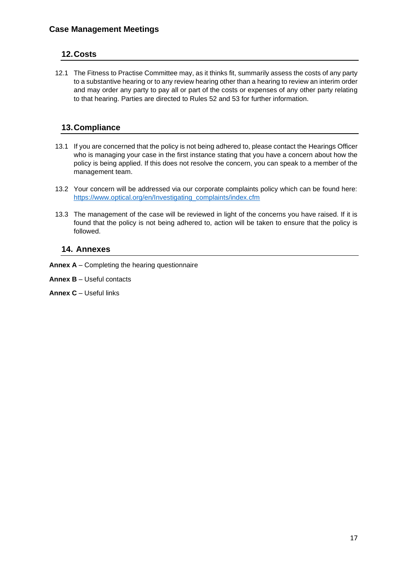# **12.Costs**

12.1 The Fitness to Practise Committee may, as it thinks fit, summarily assess the costs of any party to a substantive hearing or to any review hearing other than a hearing to review an interim order and may order any party to pay all or part of the costs or expenses of any other party relating to that hearing. Parties are directed to Rules 52 and 53 for further information.

# **13.Compliance**

- 13.1 If you are concerned that the policy is not being adhered to, please contact the Hearings Officer who is managing your case in the first instance stating that you have a concern about how the policy is being applied. If this does not resolve the concern, you can speak to a member of the management team.
- 13.2 Your concern will be addressed via our corporate complaints policy which can be found here: [https://www.optical.org/en/Investigating\\_complaints/index.cfm](https://www.optical.org/en/Investigating_complaints/index.cfm)
- 13.3 The management of the case will be reviewed in light of the concerns you have raised. If it is found that the policy is not being adhered to, action will be taken to ensure that the policy is followed.

## **14. Annexes**

**Annex A** – Completing the hearing questionnaire

**Annex B** – Useful contacts

**Annex C** – Useful links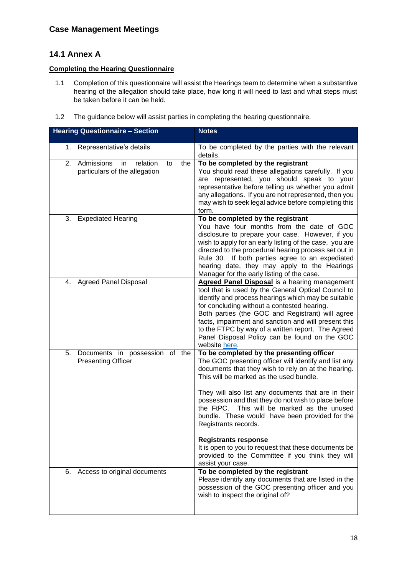# **14.1 Annex A**

#### **Completing the Hearing Questionnaire**

- 1.1 Completion of this questionnaire will assist the Hearings team to determine when a substantive hearing of the allegation should take place, how long it will need to last and what steps must be taken before it can be held.
- 1.2 The guidance below will assist parties in completing the hearing questionnaire.

| <b>Hearing Questionnaire - Section</b>                                            | <b>Notes</b>                                                                                                                                                                                                                                                                                                                                                                                                                                                                                                                                                                                                 |
|-----------------------------------------------------------------------------------|--------------------------------------------------------------------------------------------------------------------------------------------------------------------------------------------------------------------------------------------------------------------------------------------------------------------------------------------------------------------------------------------------------------------------------------------------------------------------------------------------------------------------------------------------------------------------------------------------------------|
| 1.<br>Representative's details                                                    | To be completed by the parties with the relevant<br>details.                                                                                                                                                                                                                                                                                                                                                                                                                                                                                                                                                 |
| 2.<br>Admissions<br>relation<br>the<br>in.<br>to<br>particulars of the allegation | To be completed by the registrant<br>You should read these allegations carefully. If you<br>are represented, you should speak to your<br>representative before telling us whether you admit<br>any allegations. If you are not represented, then you<br>may wish to seek legal advice before completing this<br>form.                                                                                                                                                                                                                                                                                        |
| <b>Expediated Hearing</b><br>3.                                                   | To be completed by the registrant<br>You have four months from the date of GOC<br>disclosure to prepare your case. However, if you<br>wish to apply for an early listing of the case, you are<br>directed to the procedural hearing process set out in<br>Rule 30. If both parties agree to an expediated<br>hearing date, they may apply to the Hearings<br>Manager for the early listing of the case.                                                                                                                                                                                                      |
| 4. Agreed Panel Disposal                                                          | <b>Agreed Panel Disposal</b> is a hearing management<br>tool that is used by the General Optical Council to<br>identify and process hearings which may be suitable<br>for concluding without a contested hearing.<br>Both parties (the GOC and Registrant) will agree<br>facts, impairment and sanction and will present this<br>to the FTPC by way of a written report. The Agreed<br>Panel Disposal Policy can be found on the GOC<br>website here.                                                                                                                                                        |
| Documents in possession of the<br>5.<br><b>Presenting Officer</b>                 | To be completed by the presenting officer<br>The GOC presenting officer will identify and list any<br>documents that they wish to rely on at the hearing.<br>This will be marked as the used bundle.<br>They will also list any documents that are in their<br>possession and that they do not wish to place before<br>the FtPC. This will be marked as the unused<br>bundle. These would have been provided for the<br>Registrants records.<br><b>Registrants response</b><br>It is open to you to request that these documents be<br>provided to the Committee if you think they will<br>assist your case. |
| 6.<br>Access to original documents                                                | To be completed by the registrant<br>Please identify any documents that are listed in the<br>possession of the GOC presenting officer and you<br>wish to inspect the original of?                                                                                                                                                                                                                                                                                                                                                                                                                            |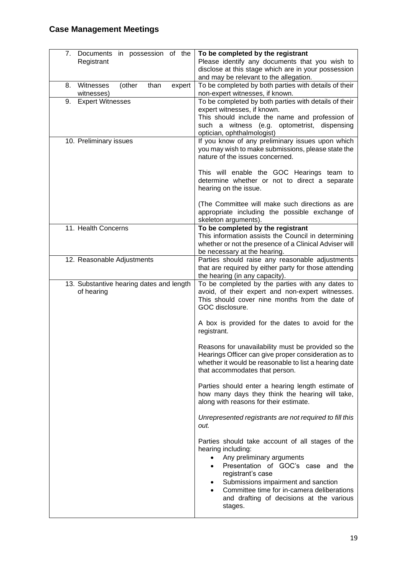| 7.<br>Documents in possession of the<br>Registrant        | To be completed by the registrant<br>Please identify any documents that you wish to<br>disclose at this stage which are in your possession<br>and may be relevant to the allegation.                                                                                                                                                              |
|-----------------------------------------------------------|---------------------------------------------------------------------------------------------------------------------------------------------------------------------------------------------------------------------------------------------------------------------------------------------------------------------------------------------------|
| Witnesses<br>than<br>8.<br>(other<br>expert<br>witnesses) | To be completed by both parties with details of their<br>non-expert witnesses, if known.                                                                                                                                                                                                                                                          |
| <b>Expert Witnesses</b><br>9.                             | To be completed by both parties with details of their<br>expert witnesses, if known.<br>This should include the name and profession of<br>such a witness (e.g. optometrist, dispensing<br>optician, ophthalmologist)                                                                                                                              |
| 10. Preliminary issues                                    | If you know of any preliminary issues upon which<br>you may wish to make submissions, please state the<br>nature of the issues concerned.                                                                                                                                                                                                         |
|                                                           | This will enable the GOC Hearings team to<br>determine whether or not to direct a separate<br>hearing on the issue.                                                                                                                                                                                                                               |
|                                                           | (The Committee will make such directions as are<br>appropriate including the possible exchange of<br>skeleton arguments).                                                                                                                                                                                                                         |
| 11. Health Concerns                                       | To be completed by the registrant<br>This information assists the Council in determining<br>whether or not the presence of a Clinical Adviser will<br>be necessary at the hearing.                                                                                                                                                                |
| 12. Reasonable Adjustments                                | Parties should raise any reasonable adjustments<br>that are required by either party for those attending<br>the hearing (in any capacity).                                                                                                                                                                                                        |
| 13. Substantive hearing dates and length<br>of hearing    | To be completed by the parties with any dates to<br>avoid, of their expert and non-expert witnesses.<br>This should cover nine months from the date of<br>GOC disclosure.                                                                                                                                                                         |
|                                                           | A box is provided for the dates to avoid for the<br>registrant.                                                                                                                                                                                                                                                                                   |
|                                                           | Reasons for unavailability must be provided so the<br>Hearings Officer can give proper consideration as to<br>whether it would be reasonable to list a hearing date<br>that accommodates that person.                                                                                                                                             |
|                                                           | Parties should enter a hearing length estimate of<br>how many days they think the hearing will take,<br>along with reasons for their estimate.                                                                                                                                                                                                    |
|                                                           | Unrepresented registrants are not required to fill this<br>out.                                                                                                                                                                                                                                                                                   |
|                                                           | Parties should take account of all stages of the<br>hearing including:<br>Any preliminary arguments<br>$\bullet$<br>Presentation of GOC's case and the<br>$\bullet$<br>registrant's case<br>Submissions impairment and sanction<br>$\bullet$<br>Committee time for in-camera deliberations<br>and drafting of decisions at the various<br>stages. |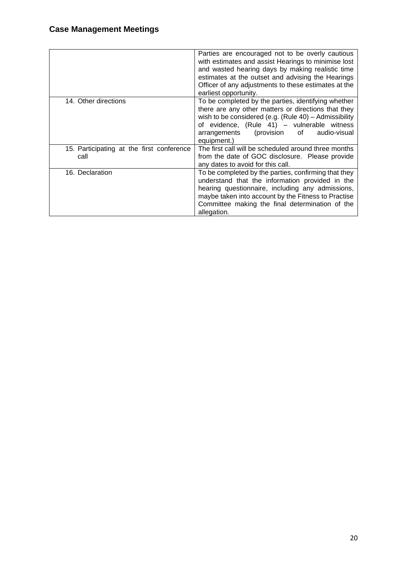|                                                   | Parties are encouraged not to be overly cautious<br>with estimates and assist Hearings to minimise lost<br>and wasted hearing days by making realistic time<br>estimates at the outset and advising the Hearings<br>Officer of any adjustments to these estimates at the<br>earliest opportunity. |
|---------------------------------------------------|---------------------------------------------------------------------------------------------------------------------------------------------------------------------------------------------------------------------------------------------------------------------------------------------------|
| 14. Other directions                              | To be completed by the parties, identifying whether<br>there are any other matters or directions that they<br>wish to be considered (e.g. (Rule 40) - Admissibility<br>of evidence, (Rule 41) - vulnerable witness<br>(provision<br>audio-visual<br>arrangements<br>of<br>equipment.)             |
| 15. Participating at the first conference<br>call | The first call will be scheduled around three months<br>from the date of GOC disclosure. Please provide<br>any dates to avoid for this call.                                                                                                                                                      |
| 16. Declaration                                   | To be completed by the parties, confirming that they<br>understand that the information provided in the<br>hearing questionnaire, including any admissions,<br>maybe taken into account by the Fitness to Practise<br>Committee making the final determination of the<br>allegation.              |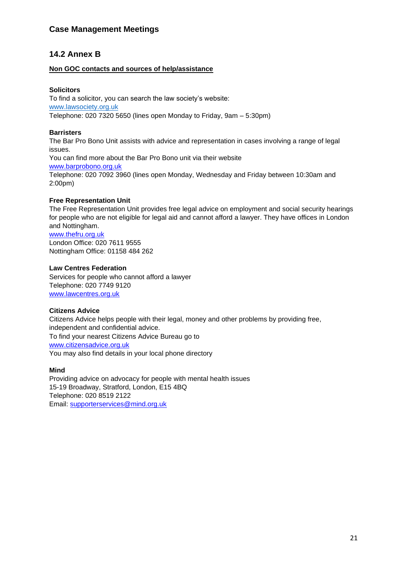# **14.2 Annex B**

## **Non GOC contacts and sources of help/assistance**

#### **Solicitors**

To find a solicitor, you can search the law society's website: [www.lawsociety.org.uk](http://www.lawsociety.org.uk/) Telephone: 020 7320 5650 (lines open Monday to Friday, 9am – 5:30pm)

#### **Barristers**

The Bar Pro Bono Unit assists with advice and representation in cases involving a range of legal issues.

You can find more about the Bar Pro Bono unit via their website [www.barprobono.org.uk](http://www.barprobono.org.uk/) Telephone: 020 7092 3960 (lines open Monday, Wednesday and Friday between 10:30am and 2:00pm)

#### **Free Representation Unit**

The Free Representation Unit provides free legal advice on employment and social security hearings for people who are not eligible for legal aid and cannot afford a lawyer. They have offices in London and Nottingham.

[www.thefru.org.uk](http://www.thefru.org.uk/)

London Office: 020 7611 9555 Nottingham Office: 01158 484 262

#### **Law Centres Federation**

Services for people who cannot afford a lawyer Telephone: 020 7749 9120 [www.lawcentres.org.uk](http://www.lawcentres.org.uk/)

#### **Citizens Advice**

Citizens Advice helps people with their legal, money and other problems by providing free, independent and confidential advice. To find your nearest Citizens Advice Bureau go to [www.citizensadvice.org.uk](http://www.citizensadvice.org.uk/) You may also find details in your local phone directory

#### **Mind**

Providing advice on advocacy for people with mental health issues 15-19 Broadway, Stratford, London, E15 4BQ Telephone: 020 8519 2122 Email: [supporterservices@mind.org.uk](mailto:supporterservices@mind.org.uk)